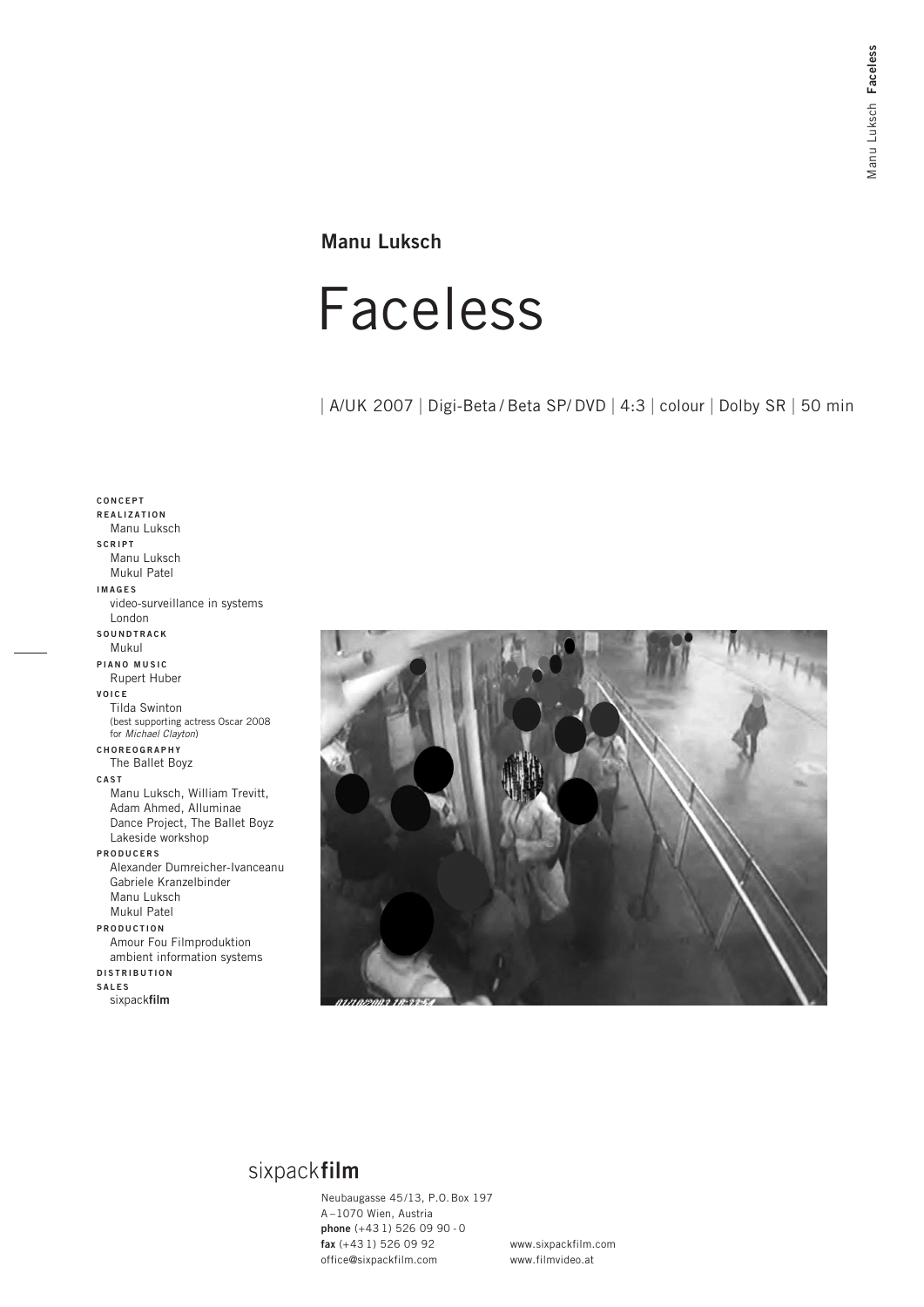## **Manu Luksch**

# Faceless

| A/UK 2007 | Digi-Beta / Beta SP/ DVD | 4:3 | colour | Dolby SR | 50 min

### **CONCEPT REALIZATION** Manu Luksch **SCRIPT** Manu Luksch Mukul Patel **IMAGES** video-surveillance in systems London **SOUNDTRACK** Mukul **PIANO MUSIC** Rupert Huber **VOICE** Tilda Swinton (best supporting actress Oscar 2008 for Michael Clayton) **CHOREOGRAPHY** The Ballet Boyz **CAST** Manu Luksch, William Trevitt, Adam Ahmed, Alluminae Dance Project, The Ballet Boyz Lakeside workshop **PRODUCERS** Alexander Dumreicher-Ivanceanu Gabriele Kranzelbinder Manu Luksch Mukul Patel **PRODUCTION** Amour Fou Filmproduktion ambient information systems **DISTRIBUTION SALES** sixpack**film**



## sixpackfilm

Neubaugasse 45/13, P.O.Box 197 A –1070 Wien, Austria **phone** (+43 1) 526 09 90 - 0 **fax** (+43 1) 526 09 92 office@sixpackfilm.com